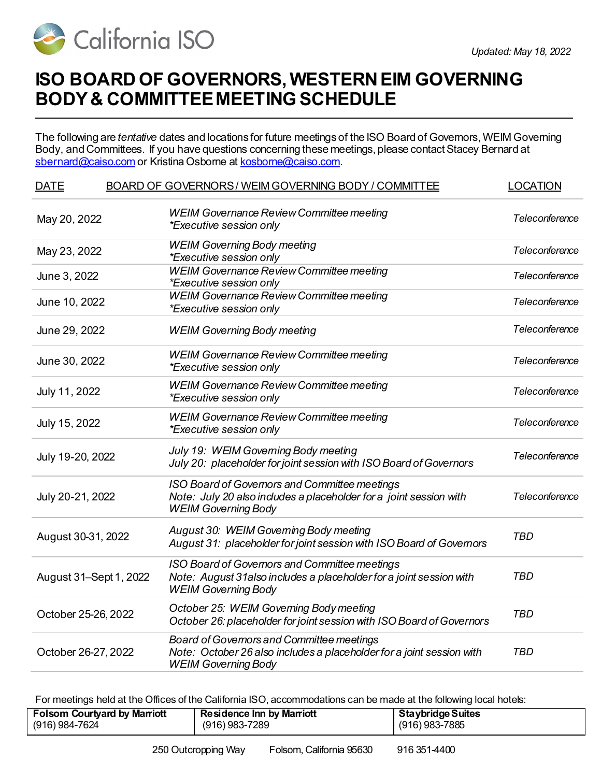

## **ISO BOARD OF GOVERNORS, WESTERN EIM GOVERNING BODY & COMMITTEE MEETING SCHEDULE**

The following are *tentative* dates and locations for future meetings of the ISO Board of Governors, WEIM Governing Body, and Committees. If you have questions concerning these meetings, please contact Stacey Bernard at [sbernard@caiso.com](mailto:sbernard@caiso.com) or Kristina Osborne a[t kosborne@caiso.com](mailto:kosborne@caiso.com).

| <b>DATE</b>            | BOARD OF GOVERNORS/WEIM GOVERNING BODY/COMMITTEE                                                                                                    | <b>LOCATION</b> |
|------------------------|-----------------------------------------------------------------------------------------------------------------------------------------------------|-----------------|
| May 20, 2022           | <b>WEIM Governance Review Committee meeting</b><br>*Executive session only                                                                          | Teleconference  |
| May 23, 2022           | <b>WEIM Governing Body meeting</b><br>*Executive session only                                                                                       | Teleconference  |
| June 3, 2022           | <b>WEIM Governance Review Committee meeting</b><br><i>*Executive session only</i>                                                                   | Teleconference  |
| June 10, 2022          | <b>WEIM Governance Review Committee meeting</b><br>*Executive session only                                                                          | Teleconference  |
| June 29, 2022          | <b>WEIM Governing Body meeting</b>                                                                                                                  | Teleconference  |
| June 30, 2022          | <b>WEIM Governance Review Committee meeting</b><br>*Executive session only                                                                          | Teleconference  |
| July 11, 2022          | <b>WEIM Governance Review Committee meeting</b><br>*Executive session only                                                                          | Teleconference  |
| July 15, 2022          | <b>WEIM Governance Review Committee meeting</b><br>*Executive session only                                                                          | Teleconference  |
| July 19-20, 2022       | July 19: WEIM Governing Body meeting<br>July 20: placeholder for joint session with ISO Board of Governors                                          | Teleconference  |
| July 20-21, 2022       | ISO Board of Governors and Committee meetings<br>Note: July 20 also includes a placeholder for a joint session with<br><b>WEIM Governing Body</b>   | Teleconference  |
| August 30-31, 2022     | August 30: WEIM Governing Body meeting<br>August 31: placeholder for joint session with ISO Board of Governors                                      | <b>TBD</b>      |
| August 31-Sept 1, 2022 | ISO Board of Governors and Committee meetings<br>Note: August 31 also includes a placeholder for a joint session with<br><b>WEIM Governing Body</b> | <b>TBD</b>      |
| October 25-26, 2022    | October 25: WEIM Governing Body meeting<br>October 26: placeholder for joint session with ISO Board of Governors                                    | <b>TBD</b>      |
| October 26-27, 2022    | Board of Governors and Committee meetings<br>Note: October 26 also includes a placeholder for a joint session with<br><b>WEIM Governing Body</b>    | <b>TBD</b>      |

For meetings held at the Offices of the California ISO, accommodations can be made at the following local hotels:

| <b>Staybridge Suites</b><br><b>Folsom Courtyard by Marriott</b><br><b>Residence Inn by Marriott</b><br>(916) 984-7624<br>(916) 983-7289<br>(916) 983-7885 |  |
|-----------------------------------------------------------------------------------------------------------------------------------------------------------|--|
|-----------------------------------------------------------------------------------------------------------------------------------------------------------|--|